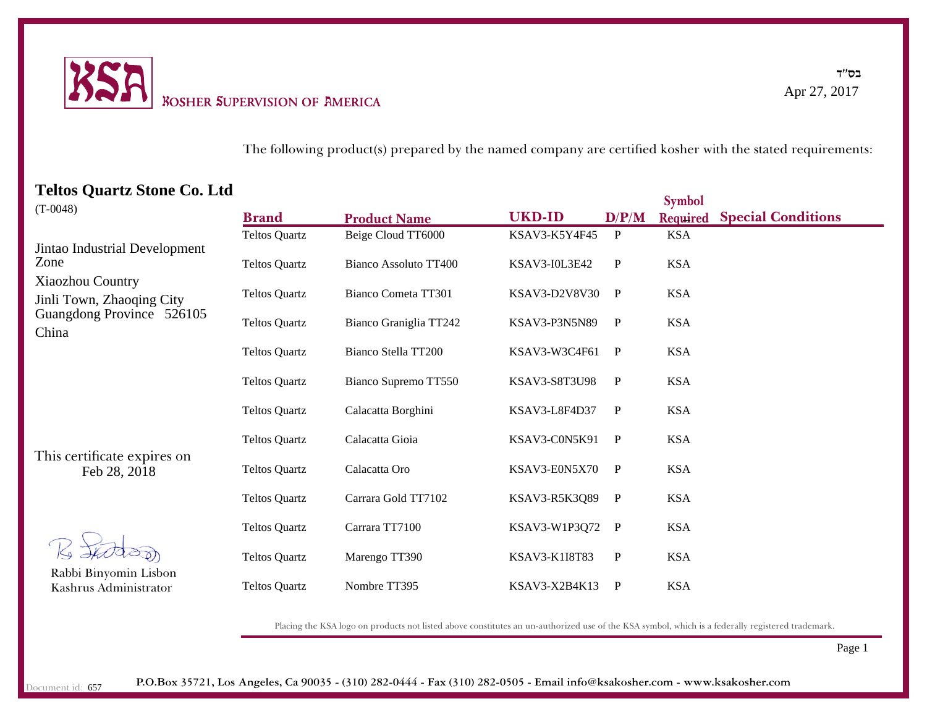

בס''ד Apr 27, 2017

## The following product(s) prepared by the named company are certified kosher with the stated requirements:

## **Teltos Quartz Stone Co. Ltd**

|                                                                                                                                     |                      |                        |                      |              | <b>Symbol</b> |                           |
|-------------------------------------------------------------------------------------------------------------------------------------|----------------------|------------------------|----------------------|--------------|---------------|---------------------------|
| $(T-0048)$                                                                                                                          | <b>Brand</b>         | <b>Product Name</b>    | <b>UKD-ID</b>        | D/P/M        | Required      | <b>Special Conditions</b> |
| Jintao Industrial Development<br>Zone<br><b>Xiaozhou Country</b><br>Jinli Town, Zhaoqing City<br>Guangdong Province 526105<br>China | <b>Teltos Quartz</b> | Beige Cloud TT6000     | KSAV3-K5Y4F45        | $\mathbf{P}$ | <b>KSA</b>    |                           |
|                                                                                                                                     | <b>Teltos Quartz</b> | Bianco Assoluto TT400  | <b>KSAV3-I0L3E42</b> | $\mathbf{P}$ | <b>KSA</b>    |                           |
|                                                                                                                                     | <b>Teltos Quartz</b> | Bianco Cometa TT301    | KSAV3-D2V8V30        | $\mathbf{P}$ | <b>KSA</b>    |                           |
|                                                                                                                                     | <b>Teltos Quartz</b> | Bianco Graniglia TT242 | KSAV3-P3N5N89        | $\mathbf{P}$ | <b>KSA</b>    |                           |
|                                                                                                                                     | <b>Teltos Quartz</b> | Bianco Stella TT200    | KSAV3-W3C4F61        | P            | <b>KSA</b>    |                           |
|                                                                                                                                     | <b>Teltos Quartz</b> | Bianco Supremo TT550   | <b>KSAV3-S8T3U98</b> | $\mathbf{P}$ | <b>KSA</b>    |                           |
|                                                                                                                                     | <b>Teltos Quartz</b> | Calacatta Borghini     | KSAV3-L8F4D37        | $\mathbf{P}$ | <b>KSA</b>    |                           |
| This certificate expires on<br>Feb 28, 2018                                                                                         | <b>Teltos Quartz</b> | Calacatta Gioia        | KSAV3-C0N5K91        | P            | <b>KSA</b>    |                           |
|                                                                                                                                     | <b>Teltos Quartz</b> | Calacatta Oro          | KSAV3-E0N5X70        | $\mathbf{P}$ | <b>KSA</b>    |                           |
|                                                                                                                                     | <b>Teltos Quartz</b> | Carrara Gold TT7102    | KSAV3-R5K3Q89        | $\mathbf{P}$ | <b>KSA</b>    |                           |
| Rabbi Binyomin Lisbon<br>Kashrus Administrator                                                                                      | <b>Teltos Quartz</b> | Carrara TT7100         | KSAV3-W1P3Q72        | $\mathbf{P}$ | <b>KSA</b>    |                           |
|                                                                                                                                     | <b>Teltos Quartz</b> | Marengo TT390          | KSAV3-K1I8T83        | P            | <b>KSA</b>    |                           |
|                                                                                                                                     | <b>Teltos Quartz</b> | Nombre TT395           | KSAV3-X2B4K13        | P            | <b>KSA</b>    |                           |

Placing the KSA logo on products not listed above constitutes an un-authorized use of the KSA symbol, which is a federally registered trademark.

Page 1